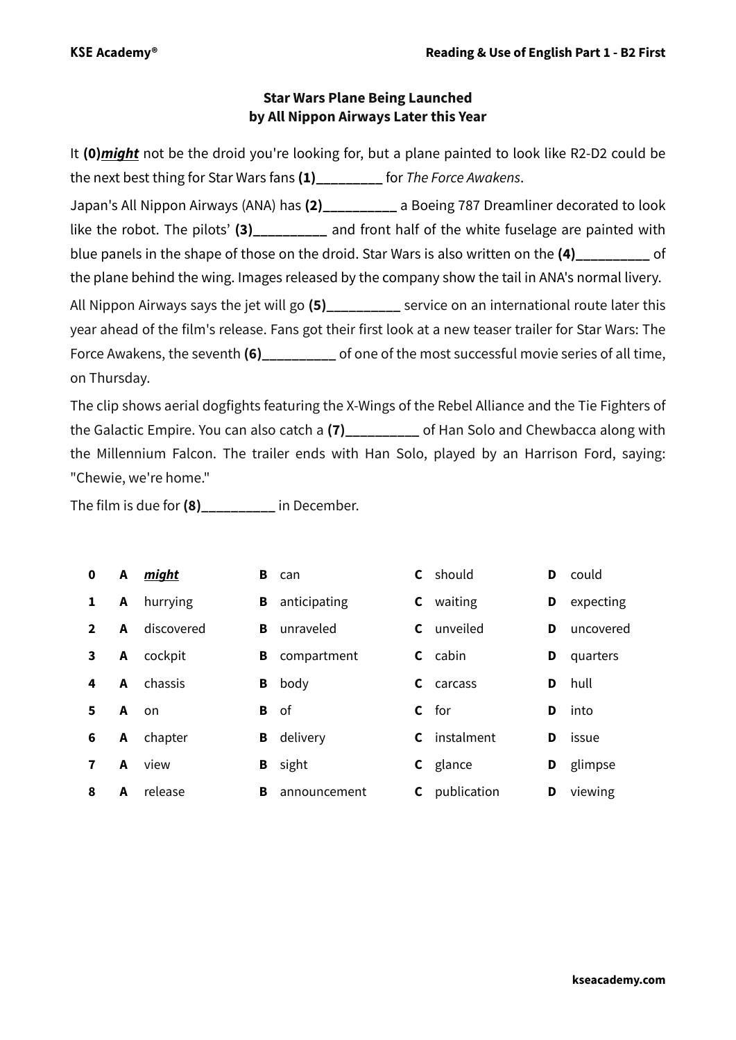## **Star Wars Plane Being Launched by All Nippon Airways Later this Year**

It **(0)***might* not be the droid you're looking for, but a plane painted to look like R2-D2 could be the next best thing for Star Wars fans **(1)\_\_\_\_\_\_\_\_\_** for *The Force Awakens*. Japan's All Nippon Airways (ANA) has **(2)\_\_\_\_\_\_\_\_\_\_** a Boeing 787 Dreamliner decorated to look like the robot. The pilots' (3) and front half of the white fuselage are painted with blue panels in the shape of those on the droid. Star Wars is also written on the **(4)\_\_\_\_\_\_\_\_\_\_** of the plane behind the wing. Images released by the company show the tail in ANA's normal livery. All Nippon Airways says the jet will go **(5)\_\_\_\_\_\_\_\_\_\_** service on an international route later this year ahead of the film's release. Fans got their first look at a new teaser trailer for Star Wars: The Force Awakens, the seventh **(6)\_\_\_\_\_\_\_\_\_\_** of one of the most successful movie series of all time, on Thursday.

The clip shows aerial dogfights featuring the X-Wings of the Rebel Alliance and the Tie Fighters of the Galactic Empire. You can also catch a **(7)\_\_\_\_\_\_\_\_\_\_** of Han Solo and Chewbacca along with the Millennium Falcon. The trailer ends with Han Solo, played by an Harrison Ford, saying: "Chewie, we're home."

The film is due for **(8)\_\_\_\_\_\_\_\_\_\_** in December.

| $\mathbf 0$    | $\mathbf{A}$ | might      | в | can          |    | <b>C</b> should |   | <b>D</b> could |
|----------------|--------------|------------|---|--------------|----|-----------------|---|----------------|
| 1              | A            | hurrying   | В | anticipating | C. | waiting         | D | expecting      |
| $\overline{2}$ | A            | discovered | в | unraveled    | C. | unveiled        | D | uncovered      |
| 3              | A            | cockpit    | В | compartment  |    | <b>C</b> cabin  | D | quarters       |
| 4              | A            | chassis    | В | body         | C. | carcass         | D | hull           |
| 5              | A on         |            | В | 0f           |    | $c$ for         | D | into           |
| 6              | A            | chapter    | В | delivery     | C  | instalment      | D | issue          |
| $\mathbf{7}$   | A            | view       | В | sight        |    | <b>C</b> glance | D | glimpse        |
| 8              | A            | release    | в | announcement | C. | publication     | D | viewing        |